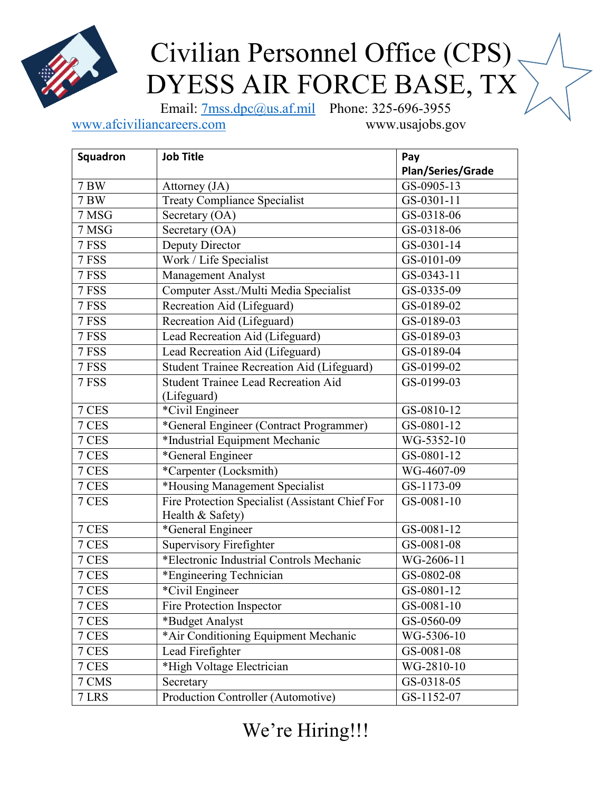

## Civilian Personnel Office (CPS) DYESS AIR FORCE BASE, TX

Email: [7mss.dpc@us.af.mil](mailto:7mss.dpc@us.af.mil) Phone: 325-696-3955

[www.afciviliancareers.com](http://www.afciviliancareers.com/) www.usajobs.gov

**Squadron Job Title Pay Pay Plan/Series/Grade** 7 BW Attorney (JA) GS-0905-13 7 BW Treaty Compliance Specialist GS-0301-11  $7 \text{ MSG}$  Secretary (OA) GS-0318-06  $7 \text{ MSG}$  Secretary (OA) GS-0318-06 7 FSS Deputy Director GS-0301-14 7 FSS Work / Life Specialist GS-0101-09 7 FSS Management Analyst GS-0343-11 7 FSS Computer Asst./Multi Media Specialist GS-0335-09 7 FSS Recreation Aid (Lifeguard) GS-0189-02 7 FSS Recreation Aid (Lifeguard) GS-0189-03 7 FSS Lead Recreation Aid (Lifeguard) GS-0189-03 7 FSS Lead Recreation Aid (Lifeguard) GS-0189-04 7 FSS Student Trainee Recreation Aid (Lifeguard) GS-0199-02 7 FSS Student Trainee Lead Recreation Aid (Lifeguard) GS-0199-03 7 CES <sup>\*</sup>Civil Engineer GS-0810-12 7 CES \*General Engineer (Contract Programmer) GS-0801-12 7 CES \*Industrial Equipment Mechanic WG-5352-10 7 CES \*General Engineer GS-0801-12 7 CES \*Carpenter (Locksmith) WG-4607-09 7 CES \*Housing Management Specialist GS-1173-09 7 CES Fire Protection Specialist (Assistant Chief For Health & Safety) GS-0081-10 7 CES \*General Engineer GS-0081-12 7 CES Supervisory Firefighter GS-0081-08 7 CES \*Electronic Industrial Controls Mechanic WG-2606-11 7 CES \*Engineering Technician GS-0802-08 7 CES <sup>\*</sup>Civil Engineer GS-0801-12 7 CES Fire Protection Inspector GS-0081-10 7 CES <sup>\*Budget</sup> Analyst GS-0560-09 7 CES \*Air Conditioning Equipment Mechanic WG-5306-10 7 CES Lead Firefighter GS-0081-08 7 CES \*High Voltage Electrician WG-2810-10 7 CMS Secretary GS-0318-05 7 LRS Production Controller (Automotive) GS-1152-07

We're Hiring!!!